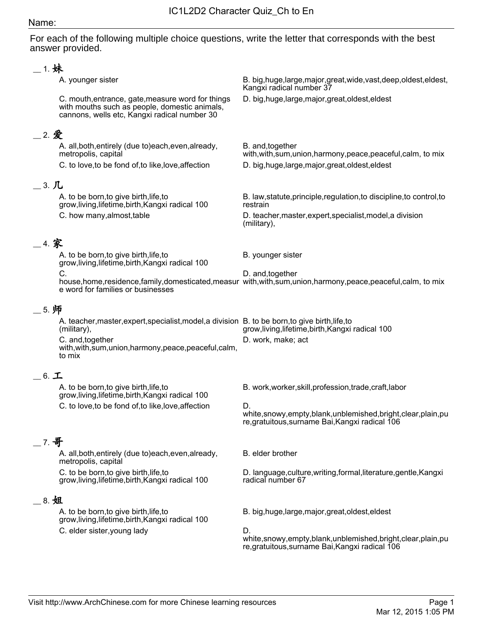## Name:

For each of the following multiple choice questions, write the letter that corresponds with the best answer provided.

| __ 1. 妹              |                                                                                                                                                    |                                                                                                                                         |  |  |
|----------------------|----------------------------------------------------------------------------------------------------------------------------------------------------|-----------------------------------------------------------------------------------------------------------------------------------------|--|--|
|                      | A. younger sister                                                                                                                                  | B. big, huge, large, major, great, wide, vast, deep, oldest, eldest,<br>Kangxi radical number 37                                        |  |  |
|                      | C. mouth, entrance, gate, measure word for things<br>with mouths such as people, domestic animals,<br>cannons, wells etc, Kangxi radical number 30 | D. big, huge, large, major, great, oldest, eldest                                                                                       |  |  |
| _2. 爱                |                                                                                                                                                    |                                                                                                                                         |  |  |
|                      | A. all, both, entirely (due to) each, even, already,<br>metropolis, capital<br>C. to love, to be fond of, to like, love, affection                 | B. and, together<br>with, with, sum, union, harmony, peace, peaceful, calm, to mix<br>D. big, huge, large, major, great, oldest, eldest |  |  |
| $=$ 3. $\mathcal{L}$ |                                                                                                                                                    |                                                                                                                                         |  |  |
|                      | A. to be born, to give birth, life, to<br>grow, living, lifetime, birth, Kangxi radical 100                                                        | B. law, statute, principle, regulation, to discipline, to control, to<br>restrain                                                       |  |  |
|                      | C. how many, almost, table                                                                                                                         | D. teacher, master, expert, specialist, model, a division<br>(military),                                                                |  |  |
| 4. 家                 |                                                                                                                                                    |                                                                                                                                         |  |  |
|                      | A. to be born, to give birth, life, to<br>grow, living, lifetime, birth, Kangxi radical 100                                                        | B. younger sister                                                                                                                       |  |  |
|                      | C.                                                                                                                                                 | D. and, together                                                                                                                        |  |  |
|                      | e word for families or businesses                                                                                                                  | house, home, residence, family, domesticated, measur with, with, sum, union, harmony, peace, peaceful, calm, to mix                     |  |  |
| 5. 师                 |                                                                                                                                                    |                                                                                                                                         |  |  |
|                      | A. teacher, master, expert, specialist, model, a division B. to be born, to give birth, life, to<br>(military),                                    | grow, living, lifetime, birth, Kangxi radical 100                                                                                       |  |  |
|                      | C. and, together<br>with, with, sum, union, harmony, peace, peaceful, calm,<br>to mix                                                              | D. work, make; act                                                                                                                      |  |  |
| $=$ 6. $\pm$         |                                                                                                                                                    |                                                                                                                                         |  |  |
|                      | A. to be born, to give birth, life, to<br>grow, living, lifetime, birth, Kangxi radical 100                                                        | B. work, worker, skill, profession, trade, craft, labor                                                                                 |  |  |
|                      | C. to love, to be fond of, to like, love, affection                                                                                                | D.<br>white,snowy,empty,blank,unblemished,bright,clear,plain,pu<br>re, gratuitous, surname Bai, Kangxi radical 106                      |  |  |
| $-$ 7. 哥             |                                                                                                                                                    |                                                                                                                                         |  |  |
|                      | A. all, both, entirely (due to) each, even, already,<br>metropolis, capital                                                                        | B. elder brother                                                                                                                        |  |  |
|                      | C. to be born, to give birth, life, to<br>grow, living, lifetime, birth, Kangxi radical 100                                                        | D. language, culture, writing, formal, literature, gentle, Kangxi<br>radical number 67                                                  |  |  |
| $\_\,$ 8. 姐          |                                                                                                                                                    |                                                                                                                                         |  |  |
|                      | A. to be born, to give birth, life, to<br>grow, living, lifetime, birth, Kangxi radical 100                                                        | B. big, huge, large, major, great, oldest, eldest                                                                                       |  |  |
|                      | C. elder sister, young lady                                                                                                                        | D.<br>white,snowy,empty,blank,unblemished,bright,clear,plain,pu<br>re, gratuitous, surname Bai, Kangxi radical 106                      |  |  |
|                      |                                                                                                                                                    |                                                                                                                                         |  |  |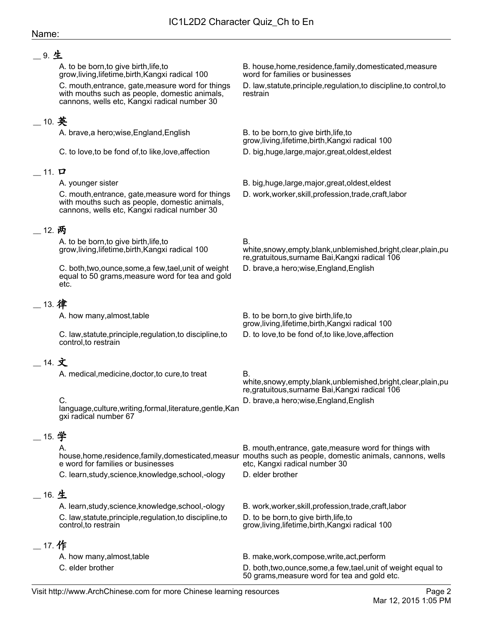## Name:

## \_\_ 9. 生

A. to be born,to give birth,life,to grow,living,lifetime,birth,Kangxi radical 100 B. house,home,residence,family,domesticated,measure word for families or businesses C. mouth,entrance, gate,measure word for things with mouths such as people, domestic animals, cannons, wells etc, Kangxi radical number 30 D. law,statute,principle,regulation,to discipline,to control,to restrain  $\_$  10. 英 A. brave,a hero;wise,England,English B. to be born,to give birth,life,to grow,living,lifetime,birth,Kangxi radical 100 C. to love,to be fond of,to like,love,affection D. big,huge,large,major,great,oldest,eldest  $-$  11.  $\Box$ A. younger sister B. big,huge,large,major,great,oldest,eldest C. mouth,entrance, gate,measure word for things with mouths such as people, domestic animals, cannons, wells etc, Kangxi radical number 30 D. work,worker,skill,profession,trade,craft,labor \_\_ 12. 两 A. to be born,to give birth,life,to grow,living,lifetime,birth,Kangxi radical 100 B. white,snowy,empty,blank,unblemished,bright,clear,plain,pu re,gratuitous,surname Bai,Kangxi radical 106 C. both,two,ounce,some,a few,tael,unit of weight equal to 50 grams,measure word for tea and gold etc. D. brave,a hero;wise,England,English \_\_ 13. 律 A. how many, almost, table  $B$ . to be born, to give birth, life, to grow,living,lifetime,birth,Kangxi radical 100 C. law,statute,principle,regulation,to discipline,to control,to restrain D. to love,to be fond of,to like,love,affection  $-$  14. 文 A. medical, medicine, doctor, to cure, to treat B. white,snowy,empty,blank,unblemished,bright,clear,plain,pu re,gratuitous,surname Bai,Kangxi radical 106 C. language,culture,writing,formal,literature,gentle,Kan gxi radical number 67 D. brave,a hero;wise,England,English  $\_$  15. 学 A. house,home,residence,family,domesticated,measur e word for families or businesses B. mouth,entrance, gate,measure word for things with mouths such as people, domestic animals, cannons, wells etc, Kangxi radical number 30 C. learn, study, science, knowledge, school,-ology D. elder brother \_\_ 16. 生 A. learn,study,science,knowledge,school,-ology B. work,worker,skill,profession,trade,craft,labor C. law,statute,principle,regulation,to discipline,to control,to restrain D. to be born,to give birth,life,to grow,living,lifetime,birth,Kangxi radical 100 \_\_ 17. 作 A. how many,almost,table B. make,work,compose,write,act,perform C. elder brother D. both,two,ounce,some,a few,tael,unit of weight equal to 50 grams,measure word for tea and gold etc.